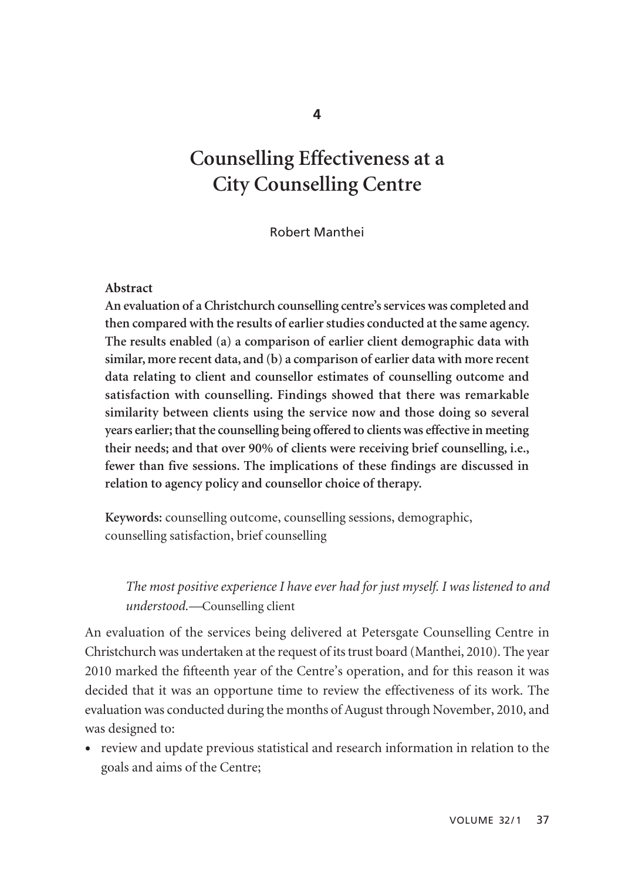# **Counselling Effectiveness at a City Counselling Centre**

Robert Manthei

#### **Abstract**

**An evaluation of a Christchurch counselling centre's services was completed and then compared with the results of earlier studies conducted at the same agency. The results enabled (a) a comparison of earlier client demographic data with similar, more recent data, and (b) a comparison of earlier data with more recent data relating to client and counsellor estimates of counselling outcome and satisfaction with counselling. Findings showed that there was remarkable similarity between clients using the service now and those doing so several years earlier; that the counselling being offered to clients was effective in meeting their needs; and that over 90% of clients were receiving brief counselling, i.e., fewer than five sessions. The implications of these findings are discussed in relation to agency policy and counsellor choice of therapy.**

**Keywords:** counselling outcome, counselling sessions, demographic, counselling satisfaction, brief counselling

*The most positive experience I have ever had for just myself. I was listened to and understood.—*Counselling client

An evaluation of the services being delivered at Petersgate Counselling Centre in Christchurch was undertaken at the request of its trust board (Manthei, 2010). The year 2010 marked the fifteenth year of the Centre's operation, and for this reason it was decided that it was an opportune time to review the effectiveness of its work. The evaluation was conducted during the months of August through November, 2010, and was designed to:

• review and update previous statistical and research information in relation to the goals and aims of the Centre;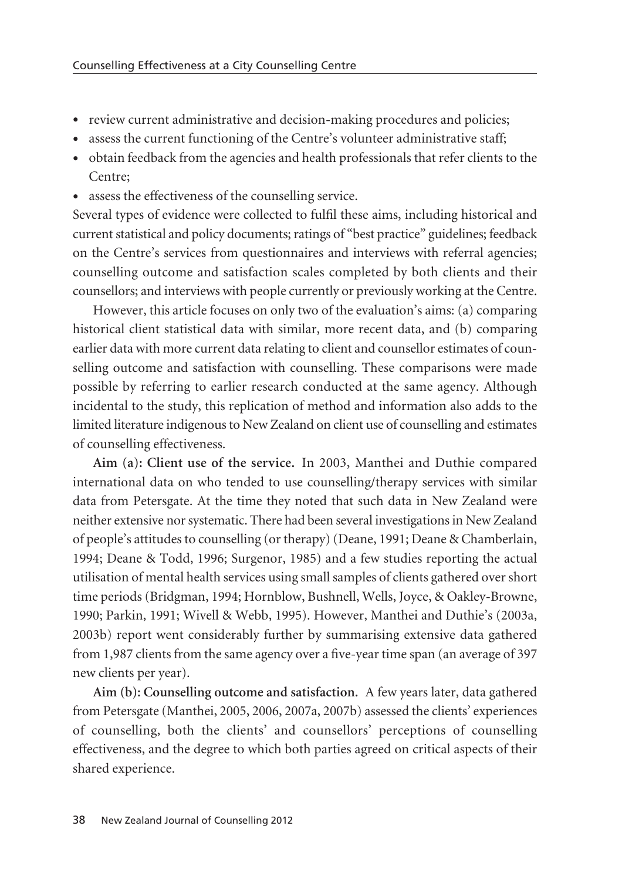- review current administrative and decision-making procedures and policies;
- assess the current functioning of the Centre's volunteer administrative staff;
- obtain feedback from the agencies and health professionals that refer clients to the Centre;
- assess the effectiveness of the counselling service.

Several types of evidence were collected to fulfil these aims, including historical and current statistical and policy documents; ratings of "best practice" guidelines; feedback on the Centre's services from questionnaires and interviews with referral agencies; counselling outcome and satisfaction scales completed by both clients and their counsellors; and interviews with people currently or previously working at the Centre.

However, this article focuses on only two of the evaluation's aims: (a) comparing historical client statistical data with similar, more recent data, and (b) comparing earlier data with more current data relating to client and counsellor estimates of coun selling outcome and satisfaction with counselling. These comparisons were made possible by referring to earlier research conducted at the same agency. Although incidental to the study, this replication of method and information also adds to the limited literature indigenous to New Zealand on client use of counselling and estimates of counselling effectiveness.

**Aim (a): Client use of the service.** In 2003, Manthei and Duthie compared international data on who tended to use counselling/therapy services with similar data from Petersgate. At the time they noted that such data in New Zealand were neither extensive nor systematic. There had been several investigations in New Zealand of people's attitudes to counselling (or therapy) (Deane, 1991; Deane & Chamberlain, 1994; Deane & Todd, 1996; Surgenor, 1985) and a few studies reporting the actual utilisation of mental health services using small samples of clients gathered over short time periods (Bridgman, 1994; Hornblow, Bushnell, Wells, Joyce, & Oakley-Browne, 1990; Parkin, 1991; Wivell & Webb, 1995). However, Manthei and Duthie's (2003a, 2003b) report went considerably further by summarising extensive data gathered from 1,987 clients from the same agency over a five-year time span (an average of 397 new clients per year).

**Aim (b): Counselling outcome and satisfaction.** A few years later, data gathered from Petersgate (Manthei, 2005, 2006, 2007a, 2007b) assessed the clients' experiences of counselling, both the clients' and counsellors' perceptions of counselling effectiveness, and the degree to which both parties agreed on critical aspects of their shared experience.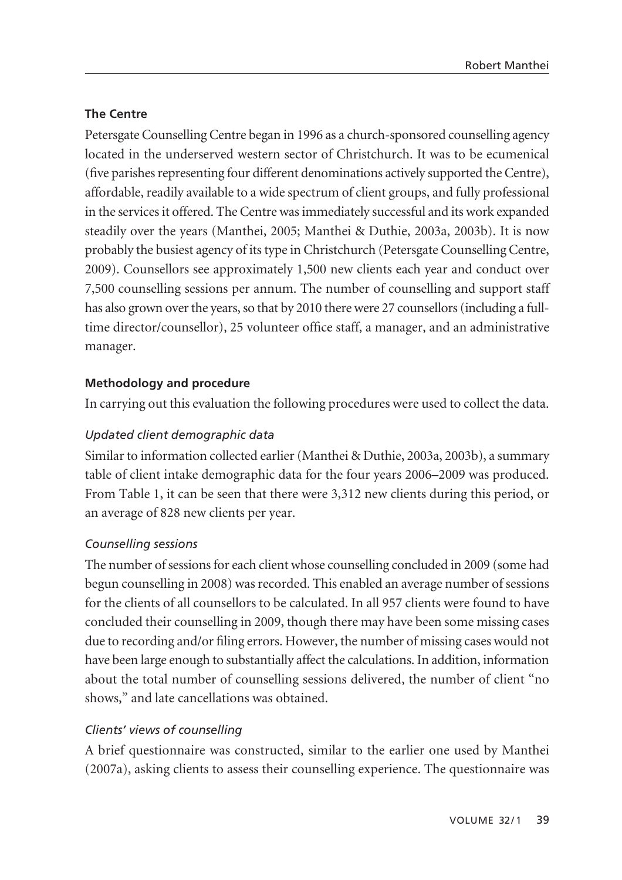#### **The Centre**

Petersgate Counselling Centre began in 1996 as a church-sponsored counselling agency located in the underserved western sector of Christchurch. It was to be ecumenical (five parishes representing four different denominations actively supported the Centre), affordable, readily available to a wide spectrum of client groups, and fully professional in the services it offered. The Centre was immediately successful and its work expanded steadily over the years (Manthei, 2005; Manthei & Duthie, 2003a, 2003b). It is now probably the busiest agency of its type in Christchurch (Petersgate Counselling Centre, 2009). Counsellors see approximately 1,500 new clients each year and conduct over 7,500 counselling sessions per annum. The number of counselling and support staff has also grown over the years, so that by 2010 there were 27 counsellors (including a fulltime director/counsellor), 25 volunteer office staff, a manager, and an administrative manager.

## **Methodology and procedure**

In carrying out this evaluation the following procedures were used to collect the data.

## *Updated client demographic data*

Similar to information collected earlier (Manthei & Duthie, 2003a, 2003b), a summary table of client intake demographic data for the four years 2006–2009 was produced. From Table 1, it can be seen that there were 3,312 new clients during this period, or an average of 828 new clients per year.

## *Counselling sessions*

The number of sessions for each client whose counselling concluded in 2009 (some had begun counselling in 2008) was recorded. This enabled an average number of sessions for the clients of all counsellors to be calculated. In all 957 clients were found to have concluded their counselling in 2009, though there may have been some missing cases due to recording and/or filing errors. However, the number of missing cases would not have been large enough to substantially affect the calculations. In addition, information about the total number of counselling sessions delivered, the number of client "no shows," and late cancellations was obtained.

## *Clients' views of counselling*

A brief questionnaire was constructed, similar to the earlier one used by Manthei (2007a), asking clients to assess their counselling experience. The questionnaire was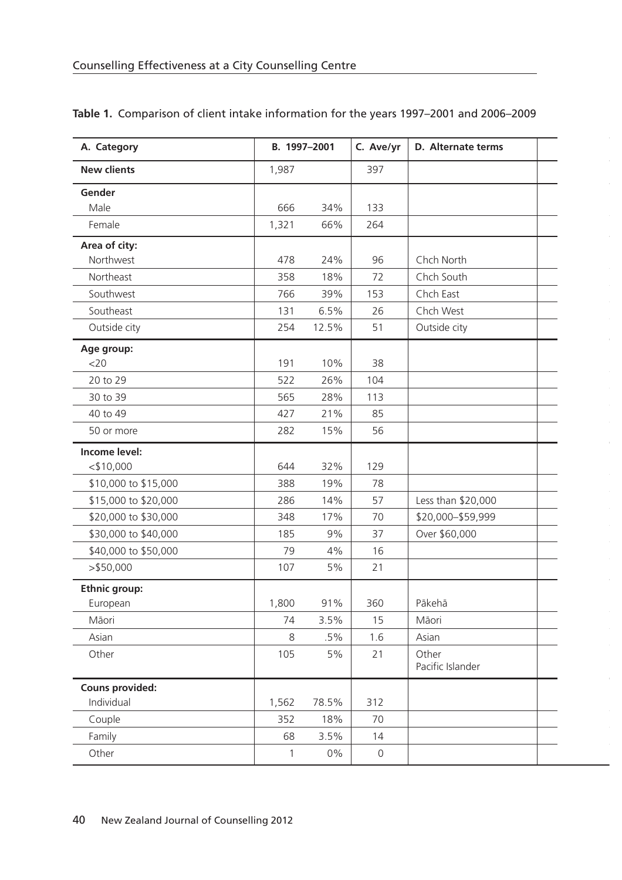| A. Category          |              | B. 1997-2001 | C. Ave/yr           | D. Alternate terms        |  |  |
|----------------------|--------------|--------------|---------------------|---------------------------|--|--|
| <b>New clients</b>   | 1,987        |              | 397                 |                           |  |  |
| Gender               |              |              |                     |                           |  |  |
| Male                 | 666          | 34%          | 133                 |                           |  |  |
| Female               | 1,321        | 66%          | 264                 |                           |  |  |
| Area of city:        |              |              |                     |                           |  |  |
| Northwest            | 478          | 24%          | 96                  | Chch North                |  |  |
| Northeast            | 358          | 18%          | 72                  | Chch South                |  |  |
| Southwest            | 766          | 39%          | 153                 | Chch East                 |  |  |
| Southeast            | 131          | 6.5%         | 26                  | Chch West                 |  |  |
| Outside city         | 254          | 12.5%        | 51                  | Outside city              |  |  |
| Age group:           |              |              |                     |                           |  |  |
| <20                  | 191          | 10%          | 38                  |                           |  |  |
| 20 to 29             | 522          | 26%          | 104                 |                           |  |  |
| 30 to 39             | 565          | 28%          | 113                 |                           |  |  |
| 40 to 49             | 427          | 21%          | 85                  |                           |  |  |
| 50 or more           | 282          | 15%          | 56                  |                           |  |  |
| Income level:        |              |              |                     |                           |  |  |
| $<$ \$10,000         | 644          | 32%          | 129                 |                           |  |  |
| \$10,000 to \$15,000 | 388          | 19%          | 78                  |                           |  |  |
| \$15,000 to \$20,000 | 286          | 14%          | 57                  | Less than \$20,000        |  |  |
| \$20,000 to \$30,000 | 348          | 17%          | 70                  | \$20,000-\$59,999         |  |  |
| \$30,000 to \$40,000 | 185          | 9%           | 37                  | Over \$60,000             |  |  |
| \$40,000 to \$50,000 | 79           | 4%           | 16                  |                           |  |  |
| $>$ \$50,000         | 107          | 5%           | 21                  |                           |  |  |
| <b>Ethnic group:</b> |              |              |                     |                           |  |  |
| European             | 1,800        | 91%          | 360                 | Pākehā                    |  |  |
| Māori                | 74           | 3.5%         | 15                  | Māori                     |  |  |
| Asian                | $8\,$        | .5%          | 1.6                 | Asian                     |  |  |
| Other                | 105          | $5\%$        | 21                  | Other<br>Pacific Islander |  |  |
| Couns provided:      |              |              |                     |                           |  |  |
| Individual           | 1,562        | 78.5%        | 312                 |                           |  |  |
| Couple               | 352          | 18%          | 70                  |                           |  |  |
| Family               | 68           | 3.5%         | 14                  |                           |  |  |
| Other                | $\mathbf{1}$ | $0\%$        | $\mathsf{O}\xspace$ |                           |  |  |

|  |  |  |  | Table 1. Comparison of client intake information for the years 1997-2001 and 2006-2009 |  |  |  |  |  |
|--|--|--|--|----------------------------------------------------------------------------------------|--|--|--|--|--|
|--|--|--|--|----------------------------------------------------------------------------------------|--|--|--|--|--|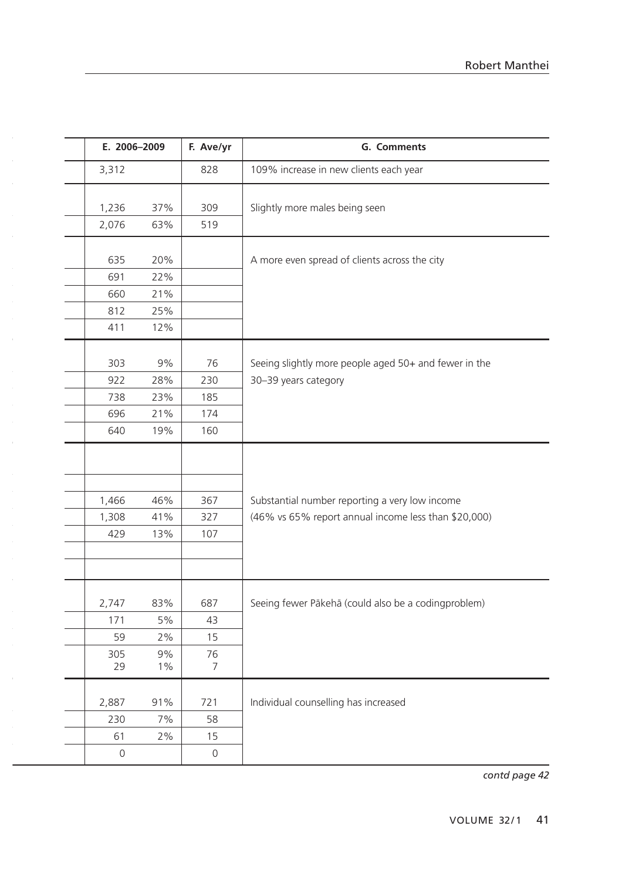| E. 2006-2009 |       | F. Ave/yr      | <b>G.</b> Comments                                    |
|--------------|-------|----------------|-------------------------------------------------------|
| 3,312        |       | 828            | 109% increase in new clients each year                |
|              |       |                |                                                       |
| 1,236        | 37%   | 309            | Slightly more males being seen                        |
| 2,076        | 63%   | 519            |                                                       |
|              |       |                |                                                       |
| 635          | 20%   |                | A more even spread of clients across the city         |
| 691          | 22%   |                |                                                       |
| 660          | 21%   |                |                                                       |
| 812          | 25%   |                |                                                       |
| 411          | 12%   |                |                                                       |
|              |       |                |                                                       |
| 303          | 9%    | 76             | Seeing slightly more people aged 50+ and fewer in the |
| 922          | 28%   | 230            | 30-39 years category                                  |
| 738          | 23%   | 185            |                                                       |
| 696          | 21%   | 174            |                                                       |
| 640          | 19%   | 160            |                                                       |
|              |       |                |                                                       |
|              |       |                |                                                       |
| 1,466        | 46%   | 367            | Substantial number reporting a very low income        |
| 1,308        | 41%   | 327            | (46% vs 65% report annual income less than \$20,000)  |
| 429          | 13%   | 107            |                                                       |
|              |       |                |                                                       |
|              |       |                |                                                       |
|              |       |                |                                                       |
| 2,747        | 83%   | 687            | Seeing fewer Pākehā (could also be a codingproblem)   |
| 171          | 5%    | 43             |                                                       |
| 59           | 2%    | 15             |                                                       |
| 305          | 9%    | 76             |                                                       |
| 29           | $1\%$ | $\overline{7}$ |                                                       |
|              |       |                |                                                       |
| 2,887        | 91%   | 721            | Individual counselling has increased                  |
| 230          | 7%    | 58             |                                                       |
| 61           | 2%    | 15             |                                                       |
| $\mathsf{O}$ |       | $\mathsf{O}$   |                                                       |

*contd page 42*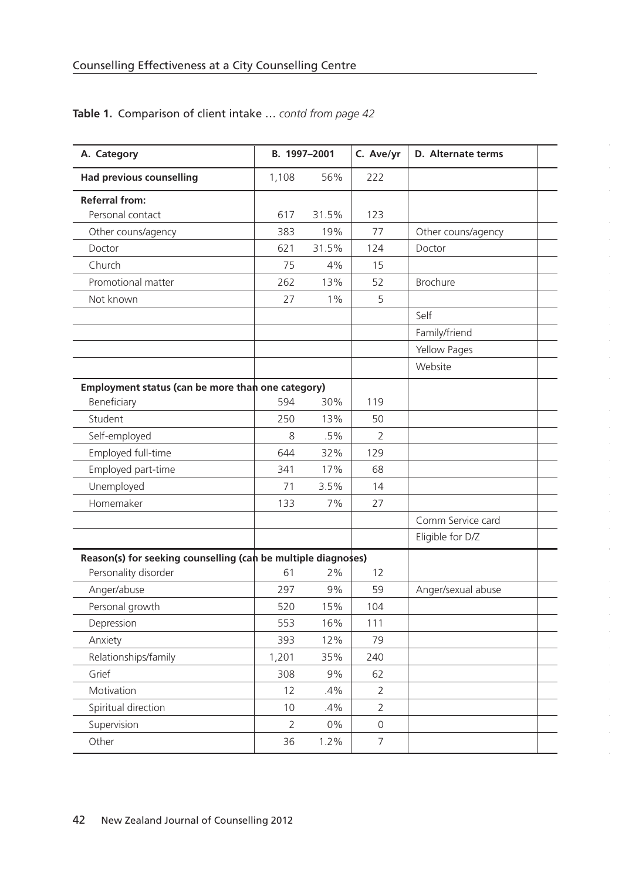| A. Category                                                   | B. 1997-2001   |        | C. Ave/yr           | D. Alternate terms |  |
|---------------------------------------------------------------|----------------|--------|---------------------|--------------------|--|
| <b>Had previous counselling</b>                               | 1,108          | 56%    | 222                 |                    |  |
| <b>Referral from:</b>                                         |                |        |                     |                    |  |
| Personal contact                                              | 617            | 31.5%  | 123                 |                    |  |
| Other couns/agency                                            | 383            | 19%    | 77                  | Other couns/agency |  |
| Doctor                                                        | 621            | 31.5%  | 124                 | Doctor             |  |
| Church                                                        | 75             | 4%     | 15                  |                    |  |
| Promotional matter                                            | 262            | 13%    | 52                  | Brochure           |  |
| Not known                                                     | 27             | $1\%$  | 5                   |                    |  |
|                                                               |                |        |                     | Self               |  |
|                                                               |                |        |                     | Family/friend      |  |
|                                                               |                |        |                     | Yellow Pages       |  |
|                                                               |                |        |                     | Website            |  |
| Employment status (can be more than one category)             |                |        |                     |                    |  |
| Beneficiary                                                   | 594            | 30%    | 119                 |                    |  |
| Student                                                       | 250            | 13%    | 50                  |                    |  |
| Self-employed                                                 | 8              | .5%    | $\overline{2}$      |                    |  |
| Employed full-time                                            | 644            | 32%    | 129                 |                    |  |
| Employed part-time                                            | 341            | 17%    | 68                  |                    |  |
| Unemployed                                                    | 71             | 3.5%   | 14                  |                    |  |
| Homemaker                                                     | 133            | 7%     | 27                  |                    |  |
|                                                               |                |        |                     | Comm Service card  |  |
|                                                               |                |        |                     | Eligible for D/Z   |  |
| Reason(s) for seeking counselling (can be multiple diagnoses) |                |        |                     |                    |  |
| Personality disorder                                          | 61             | 2%     | 12                  |                    |  |
| Anger/abuse                                                   | 297            | 9%     | 59                  | Anger/sexual abuse |  |
| Personal growth                                               | 520            | 15%    | 104                 |                    |  |
| Depression                                                    | 553            | 16%    | 111                 |                    |  |
| Anxiety                                                       | 393            | 12%    | 79                  |                    |  |
| Relationships/family                                          | 1,201          | 35%    | 240                 |                    |  |
| Grief                                                         | 308            | 9%     | 62                  |                    |  |
| Motivation                                                    | 12             | .4%    | $\overline{2}$      |                    |  |
| Spiritual direction                                           | 10             | $.4\%$ | $\overline{2}$      |                    |  |
| Supervision                                                   | $\overline{2}$ | $0\%$  | $\mathsf{O}\xspace$ |                    |  |
| Other                                                         | 36             | 1.2%   | $\overline{7}$      |                    |  |

## **Table 1.** Comparison of client intake … *contd from page 42*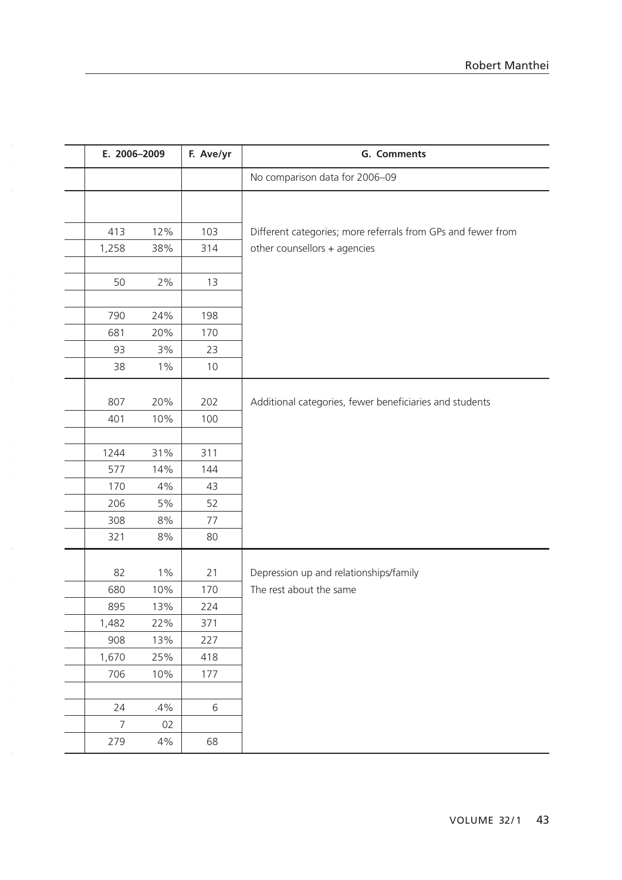| E. 2006-2009   |       | F. Ave/yr | <b>G.</b> Comments                                           |
|----------------|-------|-----------|--------------------------------------------------------------|
|                |       |           | No comparison data for 2006-09                               |
|                |       |           |                                                              |
|                |       |           |                                                              |
| 413            | 12%   | 103       | Different categories; more referrals from GPs and fewer from |
| 1,258          | 38%   | 314       | other counsellors + agencies                                 |
|                |       |           |                                                              |
| 50             | 2%    | 13        |                                                              |
|                |       |           |                                                              |
| 790            | 24%   | 198       |                                                              |
| 681            | 20%   | 170       |                                                              |
| 93             | 3%    | 23        |                                                              |
| 38             | $1\%$ | 10        |                                                              |
|                |       |           |                                                              |
| 807            | 20%   | 202       | Additional categories, fewer beneficiaries and students      |
| 401            | 10%   | 100       |                                                              |
|                |       |           |                                                              |
| 1244           | 31%   | 311       |                                                              |
| 577            | 14%   | 144       |                                                              |
| 170            | 4%    | 43        |                                                              |
| 206            | 5%    | 52        |                                                              |
| 308            | 8%    | 77        |                                                              |
| 321            | 8%    | 80        |                                                              |
|                |       |           |                                                              |
| 82             | $1\%$ | 21        | Depression up and relationships/family                       |
| 680            | 10%   | 170       | The rest about the same                                      |
| 895            | 13%   | 224       |                                                              |
| 1,482          | 22%   | 371       |                                                              |
| 908            | 13%   | 227       |                                                              |
| 1,670          | 25%   | 418       |                                                              |
| 706            | 10%   | $177$     |                                                              |
|                |       |           |                                                              |
| 24             | .4%   | 6         |                                                              |
| $\overline{7}$ | 02    |           |                                                              |
| 279            | 4%    | 68        |                                                              |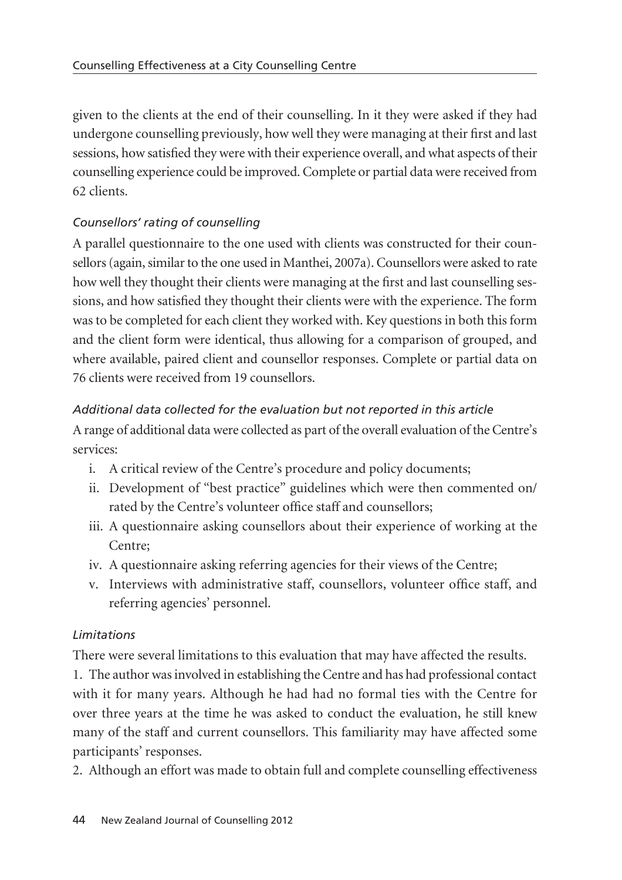given to the clients at the end of their counselling. In it they were asked if they had undergone counselling previously, how well they were managing at their first and last sessions, how satisfied they were with their experience overall, and what aspects of their counselling experience could be improved. Complete or partial data were received from 62 clients.

## *Counsellors' rating of counselling*

A parallel questionnaire to the one used with clients was constructed for their counsellors (again, similar to the one used in Manthei, 2007a). Counsellors were asked to rate how well they thought their clients were managing at the first and last counselling sessions, and how satisfied they thought their clients were with the experience. The form was to be completed for each client they worked with. Key questions in both this form and the client form were identical, thus allowing for a comparison of grouped, and where available, paired client and counsellor responses. Complete or partial data on 76 clients were received from 19 counsellors.

## *Additional data collected for the evaluation but not reported in this article*

A range of additional data were collected as part of the overall evaluation of the Centre's services:

- i. A critical review of the Centre's procedure and policy documents;
- ii. Development of "best practice" guidelines which were then commented on/ rated by the Centre's volunteer office staff and counsellors;
- iii. A questionnaire asking counsellors about their experience of working at the Centre;
- iv. A questionnaire asking referring agencies for their views of the Centre;
- v. Interviews with administrative staff, counsellors, volunteer office staff, and referring agencies' personnel.

## *Limitations*

There were several limitations to this evaluation that may have affected the results.

1. The author was involved in establishing the Centre and has had professional contact with it for many years. Although he had had no formal ties with the Centre for over three years at the time he was asked to conduct the evaluation, he still knew many of the staff and current counsellors. This familiarity may have affected some participants' responses.

2. Although an effort was made to obtain full and complete counselling effectiveness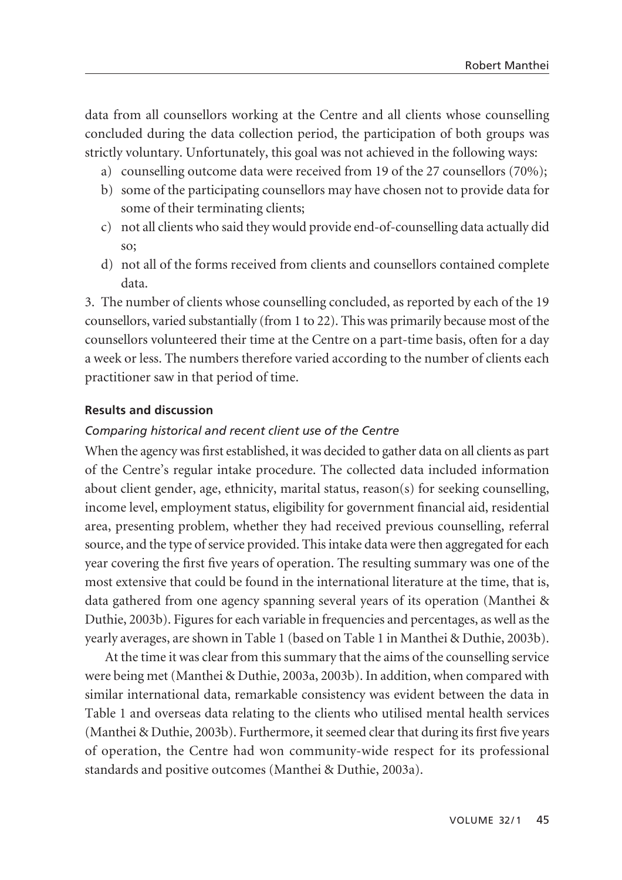data from all counsellors working at the Centre and all clients whose counselling concluded during the data collection period, the participation of both groups was strictly voluntary. Unfortunately, this goal was not achieved in the following ways:

- a) counselling outcome data were received from 19 of the 27 counsellors (70%);
- b) some of the participating counsellors may have chosen not to provide data for some of their terminating clients;
- c) not all clients who said they would provide end-of-counselling data actually did so;
- d) not all of the forms received from clients and counsellors contained complete data.

3. The number of clients whose counselling concluded, as reported by each of the 19 counsellors, varied substantially (from 1 to 22). This was primarily because most of the counsellors volunteered their time at the Centre on a part-time basis, often for a day a week or less. The numbers therefore varied according to the number of clients each practitioner saw in that period of time.

#### **Results and discussion**

#### *Comparing historical and recent client use of the Centre*

When the agency was first established, it was decided to gather data on all clients as part of the Centre's regular intake procedure. The collected data included information about client gender, age, ethnicity, marital status, reason(s) for seeking counselling, income level, employment status, eligibility for government financial aid, residential area, presenting problem, whether they had received previous counselling, referral source, and the type of service provided. This intake data were then aggregated for each year covering the first five years of operation. The resulting summary was one of the most extensive that could be found in the international literature at the time, that is, data gathered from one agency spanning several years of its operation (Manthei & Duthie, 2003b). Figures for each variable in frequencies and percentages, as well as the yearly averages, are shown in Table 1 (based on Table 1 in Manthei & Duthie, 2003b).

At the time it was clear from this summary that the aims of the counselling service were being met (Manthei & Duthie, 2003a, 2003b). In addition, when compared with similar international data, remarkable consistency was evident between the data in Table 1 and overseas data relating to the clients who utilised mental health services (Manthei & Duthie, 2003b). Furthermore, it seemed clear that during its first five years of operation, the Centre had won community-wide respect for its professional standards and positive outcomes (Manthei & Duthie, 2003a).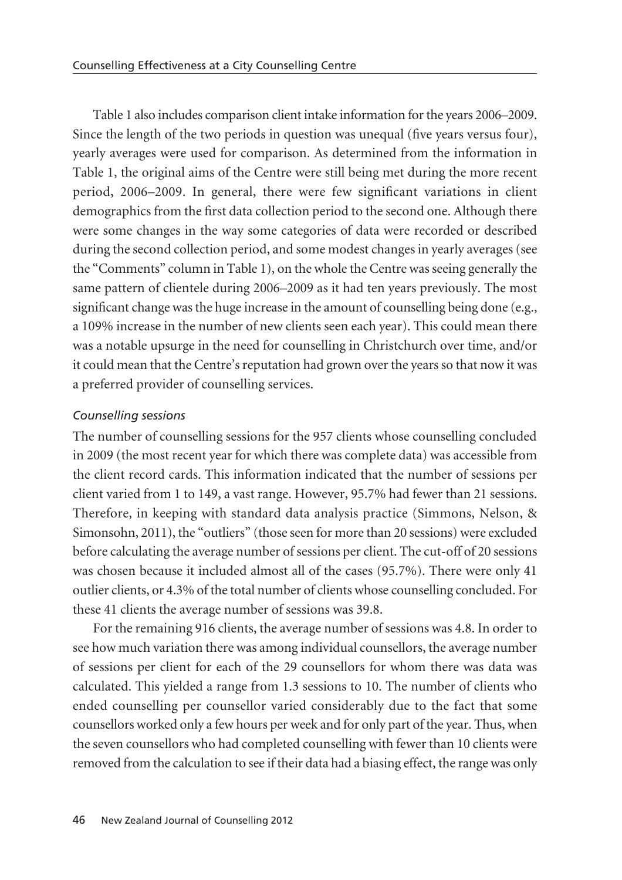Table 1 also includes comparison client intake information for the years 2006–2009. Since the length of the two periods in question was unequal (five years versus four), yearly averages were used for comparison. As determined from the information in Table 1, the original aims of the Centre were still being met during the more recent period, 2006–2009. In general, there were few significant variations in client demographics from the first data collection period to the second one. Although there were some changes in the way some categories of data were recorded or described during the second collection period, and some modest changes in yearly averages (see the "Comments" column in Table 1), on the whole the Centre was seeing generally the same pattern of clientele during 2006–2009 as it had ten years previously. The most significant change was the huge increase in the amount of counselling being done (e.g., a 109% increase in the number of new clients seen each year). This could mean there was a notable upsurge in the need for counselling in Christchurch over time, and/or it could mean that the Centre's reputation had grown over the years so that now it was a preferred provider of counselling services.

#### *Counselling sessions*

The number of counselling sessions for the 957 clients whose counselling concluded in 2009 (the most recent year for which there was complete data) was accessible from the client record cards. This information indicated that the number of sessions per client varied from 1 to 149, a vast range. However, 95.7% had fewer than 21 sessions. Therefore, in keeping with standard data analysis practice (Simmons, Nelson, & Simonsohn, 2011), the "outliers" (those seen for more than 20 sessions) were excluded before calculating the average number of sessions per client. The cut-off of 20 sessions was chosen because it included almost all of the cases (95.7%). There were only 41 outlier clients, or 4.3% of the total number of clients whose counselling concluded. For these 41 clients the average number of sessions was 39.8.

For the remaining 916 clients, the average number of sessions was 4.8. In order to see how much variation there was among individual counsellors, the average number of sessions per client for each of the 29 counsellors for whom there was data was calculated. This yielded a range from 1.3 sessions to 10. The number of clients who ended counselling per counsellor varied considerably due to the fact that some counsellors worked only a few hours per week and for only part of the year. Thus, when the seven counsellors who had completed counselling with fewer than 10 clients were removed from the calculation to see if their data had a biasing effect, the range was only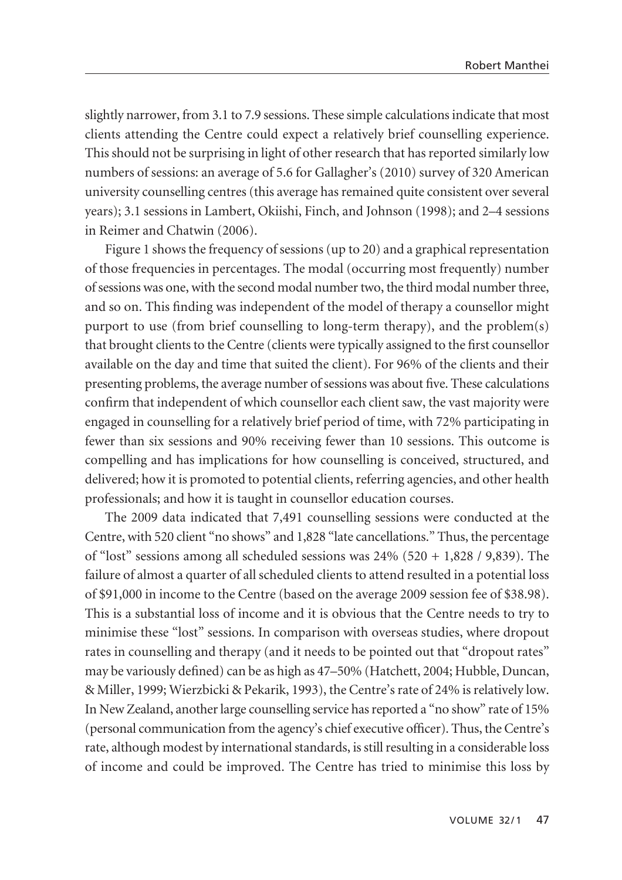slightly narrower, from 3.1 to 7.9 sessions. These simple calculations indicate that most clients attending the Centre could expect a relatively brief counselling experience. This should not be surprising in light of other research that has reported similarly low numbers of sessions: an average of 5.6 for Gallagher's (2010) survey of 320 American university counselling centres (this average has remained quite consistent over several years); 3.1 sessions in Lambert, Okiishi, Finch, and Johnson (1998); and 2–4 sessions in Reimer and Chatwin (2006).

Figure 1 shows the frequency of sessions (up to 20) and a graphical representation of those frequencies in percentages. The modal (occurring most frequently) number of sessions was one, with the second modal number two, the third modal number three, and so on. This finding was independent of the model of therapy a counsellor might purport to use (from brief counselling to long-term therapy), and the problem(s) that brought clients to the Centre (clients were typically assigned to the first counsellor available on the day and time that suited the client). For 96% of the clients and their presenting problems, the average number of sessions was about five. These calculations confirm that independent of which counsellor each client saw, the vast majority were engaged in counselling for a relatively brief period of time, with 72% participating in fewer than six sessions and 90% receiving fewer than 10 sessions. This outcome is compelling and has implications for how counselling is conceived, structured, and delivered; how it is promoted to potential clients, referring agencies, and other health professionals; and how it is taught in counsellor education courses.

The 2009 data indicated that 7,491 counselling sessions were conducted at the Centre, with 520 client "no shows" and 1,828 "late cancellations." Thus, the percentage of "lost" sessions among all scheduled sessions was  $24\%$  (520 + 1,828 / 9,839). The failure of almost a quarter of all scheduled clients to attend resulted in a potential loss of \$91,000 in income to the Centre (based on the average 2009 session fee of \$38.98). This is a substantial loss of income and it is obvious that the Centre needs to try to minimise these "lost" sessions. In comparison with overseas studies, where dropout rates in counselling and therapy (and it needs to be pointed out that "dropout rates" may be variously defined) can be as high as 47–50% (Hatchett, 2004; Hubble, Duncan, & Miller, 1999; Wierzbicki & Pekarik, 1993), the Centre's rate of 24% is relatively low. In New Zealand, another large counselling service has reported a "no show" rate of 15% (personal communication from the agency's chief executive officer). Thus, the Centre's rate, although modest by international standards, is still resulting in a considerable loss of income and could be improved. The Centre has tried to minimise this loss by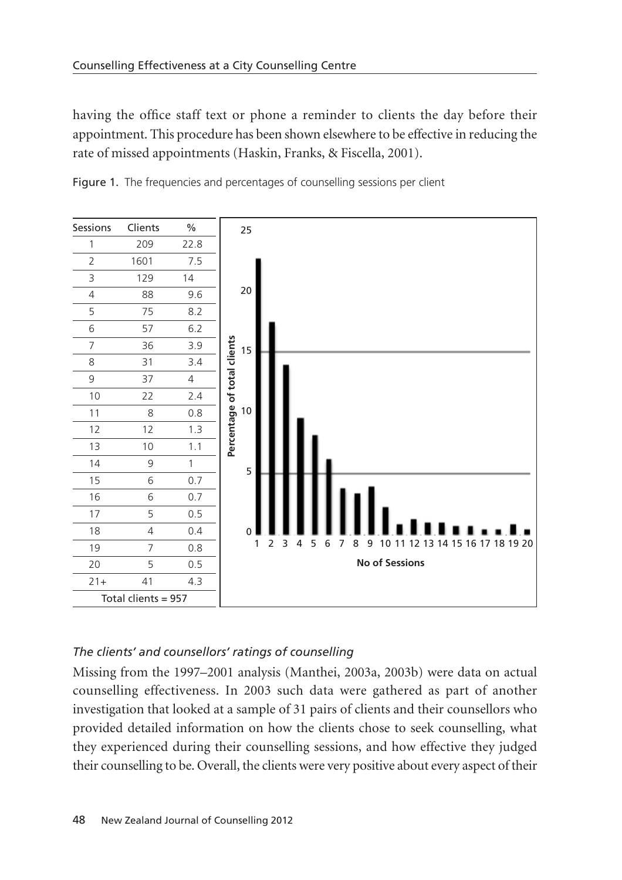having the office staff text or phone a reminder to clients the day before their appointment. This procedure has been shown elsewhere to be effective in reducing the rate of missed appointments (Haskin, Franks, & Fiscella, 2001).





#### *The clients' and counsellors' ratings of counselling*

Missing from the 1997–2001 analysis (Manthei, 2003a, 2003b) were data on actual counselling effectiveness. In 2003 such data were gathered as part of another investigation that looked at a sample of 31 pairs of clients and their counsellors who provided detailed information on how the clients chose to seek counselling, what they experienced during their counselling sessions, and how effective they judged their counselling to be. Overall, the clients were very positive about every aspect of their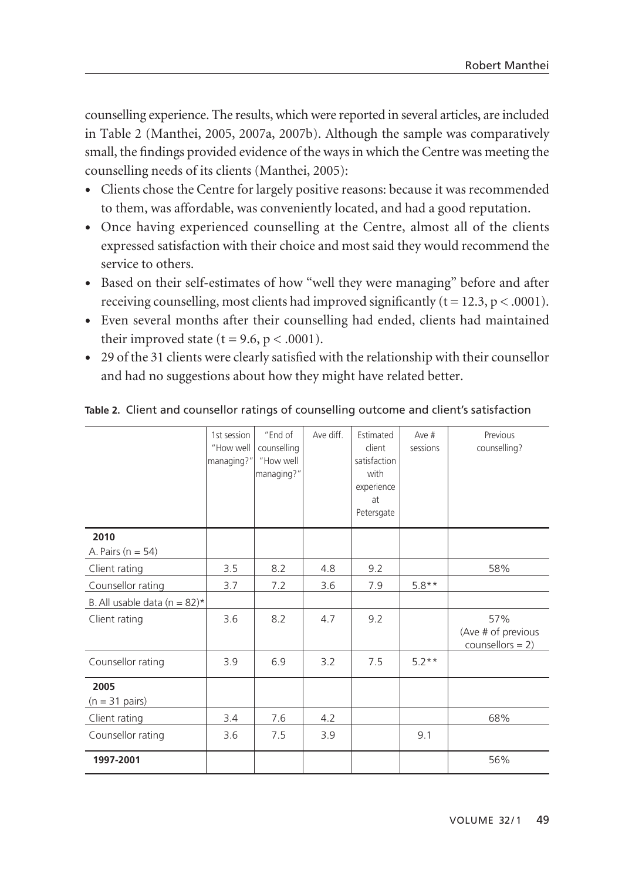counselling experience. The results, which were reported in several articles, are included in Table 2 (Manthei, 2005, 2007a, 2007b). Although the sample was comparatively small, the findings provided evidence of the ways in which the Centre was meeting the counselling needs of its clients (Manthei, 2005):

- Clients chose the Centre for largely positive reasons: because it was recommended to them, was affordable, was conveniently located, and had a good reputation.
- Once having experienced counselling at the Centre, almost all of the clients expressed satisfaction with their choice and most said they would recommend the service to others.
- Based on their self-estimates of how "well they were managing" before and after receiving counselling, most clients had improved significantly  $(t = 12.3, p < .0001)$ .
- Even several months after their counselling had ended, clients had maintained their improved state ( $t = 9.6$ ,  $p < .0001$ ).
- 29 of the 31 clients were clearly satisfied with the relationship with their counsellor and had no suggestions about how they might have related better.

|                                  | 1st session<br>"How well<br>managing?" | "End of<br>counselling<br>"How well<br>managing?" | Ave diff. | Estimated<br>client<br>satisfaction<br>with<br>experience<br>at<br>Petersgate | Ave #<br>sessions | Previous<br>counselling?                         |
|----------------------------------|----------------------------------------|---------------------------------------------------|-----------|-------------------------------------------------------------------------------|-------------------|--------------------------------------------------|
| 2010                             |                                        |                                                   |           |                                                                               |                   |                                                  |
| A. Pairs ( $n = 54$ )            |                                        |                                                   |           |                                                                               |                   |                                                  |
| Client rating                    | 3.5                                    | 8.2                                               | 4.8       | 9.2                                                                           |                   | 58%                                              |
| Counsellor rating                | 3.7                                    | 7.2                                               | 3.6       | 7.9                                                                           | $5.8**$           |                                                  |
| B. All usable data ( $n = 82$ )* |                                        |                                                   |           |                                                                               |                   |                                                  |
| Client rating                    | 3.6                                    | 8.2                                               | 4.7       | 9.2                                                                           |                   | 57%<br>(Ave # of previous<br>counsellors = $2$ ) |
| Counsellor rating                | 3.9                                    | 6.9                                               | 3.2       | 7.5                                                                           | $5.2**$           |                                                  |
| 2005<br>$(n = 31 \text{ pairs})$ |                                        |                                                   |           |                                                                               |                   |                                                  |
| Client rating                    | 3.4                                    | 7.6                                               | 4.2       |                                                                               |                   | 68%                                              |
| Counsellor rating                | 3.6                                    | 7.5                                               | 3.9       |                                                                               | 9.1               |                                                  |
| 1997-2001                        |                                        |                                                   |           |                                                                               |                   | 56%                                              |

**Table 2.** Client and counsellor ratings of counselling outcome and client's satisfaction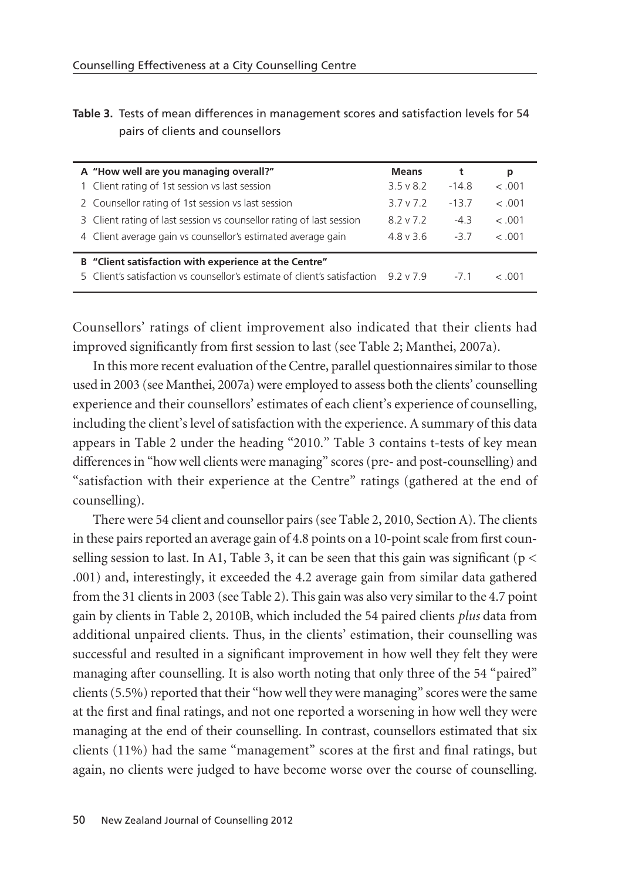|                                  | Table 3. Tests of mean differences in management scores and satisfaction levels for 54 |  |  |
|----------------------------------|----------------------------------------------------------------------------------------|--|--|
| pairs of clients and counsellors |                                                                                        |  |  |

| A "How well are you managing overall?"                                    | <b>Means</b>     | t       | р              |
|---------------------------------------------------------------------------|------------------|---------|----------------|
| 1 Client rating of 1st session vs last session                            | $3.5 \vee 8.2$   | $-14.8$ | < 0.01         |
| 2 Counsellor rating of 1st session vs last session                        | $3.7 \vee 7.2$   | $-13.7$ | < 0.01         |
| 3 Client rating of last session vs counsellor rating of last session      | $8.2 \times 7.2$ | $-4.3$  | $\leq 0.01$    |
| 4 Client average gain vs counsellor's estimated average gain              | $4.8 \vee 3.6$   | $-37$   | < 0.01         |
|                                                                           |                  |         |                |
| B "Client satisfaction with experience at the Centre"                     |                  |         |                |
| 5 Client's satisfaction vs counsellor's estimate of client's satisfaction | $9.2 \times 7.9$ | $-71$   | $\epsilon$ 001 |

Counsellors' ratings of client improvement also indicated that their clients had improved significantly from first session to last (see Table 2; Manthei, 2007a).

In this more recent evaluation of the Centre, parallel questionnaires similar to those used in 2003 (see Manthei, 2007a) were employed to assess both the clients' counselling experience and their counsellors' estimates of each client's experience of counselling, including the client's level of satisfaction with the experience. A summary of this data appears in Table 2 under the heading "2010." Table 3 contains t-tests of key mean differences in "how well clients were managing" scores (pre- and post-counselling) and "satisfaction with their experience at the Centre" ratings (gathered at the end of counselling).

There were 54 client and counsellor pairs (see Table 2, 2010, Section A). The clients in these pairs reported an average gain of 4.8 points on a 10-point scale from first counselling session to last. In A1, Table 3, it can be seen that this gain was significant ( $p <$ .001) and, interestingly, it exceeded the 4.2 average gain from similar data gathered from the 31 clients in 2003 (see Table 2). This gain was also very similar to the 4.7 point gain by clients in Table 2, 2010B, which included the 54 paired clients *plus* data from additional unpaired clients. Thus, in the clients' estimation, their counselling was successful and resulted in a significant improvement in how well they felt they were managing after counselling. It is also worth noting that only three of the 54 "paired" clients (5.5%) reported that their "how well they were managing" scores were the same at the first and final ratings, and not one reported a worsening in how well they were managing at the end of their counselling. In contrast, counsellors estimated that six clients (11%) had the same "management" scores at the first and final ratings, but again, no clients were judged to have become worse over the course of counselling.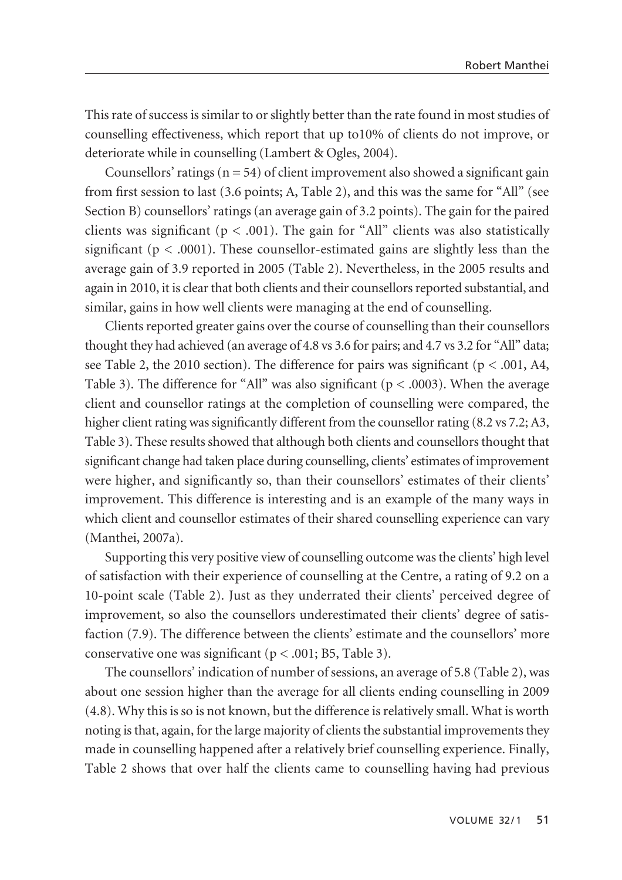This rate of success is similar to or slightly better than the rate found in most studies of counselling effectiveness, which report that up to10% of clients do not improve, or deteriorate while in counselling (Lambert & Ogles, 2004).

Counsellors' ratings ( $n = 54$ ) of client improvement also showed a significant gain from first session to last (3.6 points; A, Table 2), and this was the same for "All" (see Section B) counsellors' ratings (an average gain of 3.2 points). The gain for the paired clients was significant ( $p < .001$ ). The gain for "All" clients was also statistically significant ( $p < .0001$ ). These counsellor-estimated gains are slightly less than the average gain of 3.9 reported in 2005 (Table 2). Nevertheless, in the 2005 results and again in 2010, it is clear that both clients and their counsellors reported substantial, and similar, gains in how well clients were managing at the end of counselling.

Clients reported greater gains over the course of counselling than their counsellors thought they had achieved (an average of 4.8 vs 3.6 for pairs; and 4.7 vs 3.2 for "All" data; see Table 2, the 2010 section). The difference for pairs was significant ( $p < .001$ , A4, Table 3). The difference for "All" was also significant ( $p < .0003$ ). When the average client and counsellor ratings at the completion of counselling were compared, the higher client rating was significantly different from the counsellor rating (8.2 vs 7.2; A3, Table 3). These results showed that although both clients and counsellors thought that significant change had taken place during counselling, clients' estimates of improvement were higher, and significantly so, than their counsellors' estimates of their clients' improvement. This difference is interesting and is an example of the many ways in which client and counsellor estimates of their shared counselling experience can vary (Manthei, 2007a).

Supporting this very positive view of counselling outcome was the clients' high level of satisfaction with their experience of counselling at the Centre, a rating of 9.2 on a 10-point scale (Table 2). Just as they underrated their clients' perceived degree of improvement, so also the counsellors underestimated their clients' degree of satis faction (7.9). The difference between the clients' estimate and the counsellors' more conservative one was significant ( $p < .001$ ; B5, Table 3).

The counsellors' indication of number of sessions, an average of 5.8 (Table 2), was about one session higher than the average for all clients ending counselling in 2009 (4.8). Why this is so is not known, but the difference is relatively small. What is worth noting is that, again, for the large majority of clients the substantial improvements they made in counselling happened after a relatively brief counselling experience. Finally, Table 2 shows that over half the clients came to counselling having had previous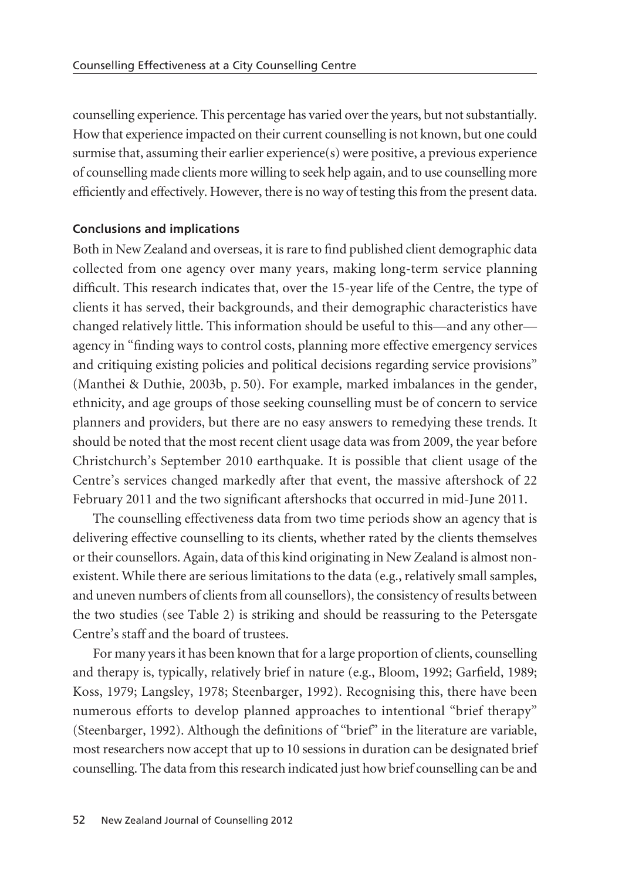counselling experience. This percentage has varied over the years, but not substantially. How that experience impacted on their current counselling is not known, but one could surmise that, assuming their earlier experience(s) were positive, a previous experience of counselling made clients more willing to seek help again, and to use counselling more efficiently and effectively. However, there is no way of testing this from the present data.

## **Conclusions and implications**

Both in New Zealand and overseas, it is rare to find published client demographic data collected from one agency over many years, making long-term service planning difficult. This research indicates that, over the 15-year life of the Centre, the type of clients it has served, their backgrounds, and their demographic characteristics have changed relatively little. This information should be useful to this—and any other agency in "finding ways to control costs, planning more effective emergency services and critiquing existing policies and political decisions regarding service provisions" (Manthei & Duthie, 2003b, p. 50). For example, marked imbalances in the gender, ethnicity, and age groups of those seeking counselling must be of concern to service planners and providers, but there are no easy answers to remedying these trends. It should be noted that the most recent client usage data was from 2009, the year before Christchurch's September 2010 earthquake. It is possible that client usage of the Centre's services changed markedly after that event, the massive aftershock of 22 February 2011 and the two significant aftershocks that occurred in mid-June 2011.

The counselling effectiveness data from two time periods show an agency that is delivering effective counselling to its clients, whether rated by the clients themselves or their counsellors. Again, data of this kind originating in New Zealand is almost nonexistent. While there are serious limitations to the data (e.g., relatively small samples, and uneven numbers of clients from all counsellors), the consistency of results between the two studies (see Table 2) is striking and should be reassuring to the Petersgate Centre's staff and the board of trustees.

For many years it has been known that for a large proportion of clients, counselling and therapy is, typically, relatively brief in nature (e.g., Bloom, 1992; Garfield, 1989; Koss, 1979; Langsley, 1978; Steenbarger, 1992). Recognising this, there have been numerous efforts to develop planned approaches to intentional "brief therapy" (Steenbarger, 1992). Although the definitions of "brief" in the literature are variable, most researchers now accept that up to 10 sessions in duration can be designated brief counselling. The data from this research indicated just how brief counselling can be and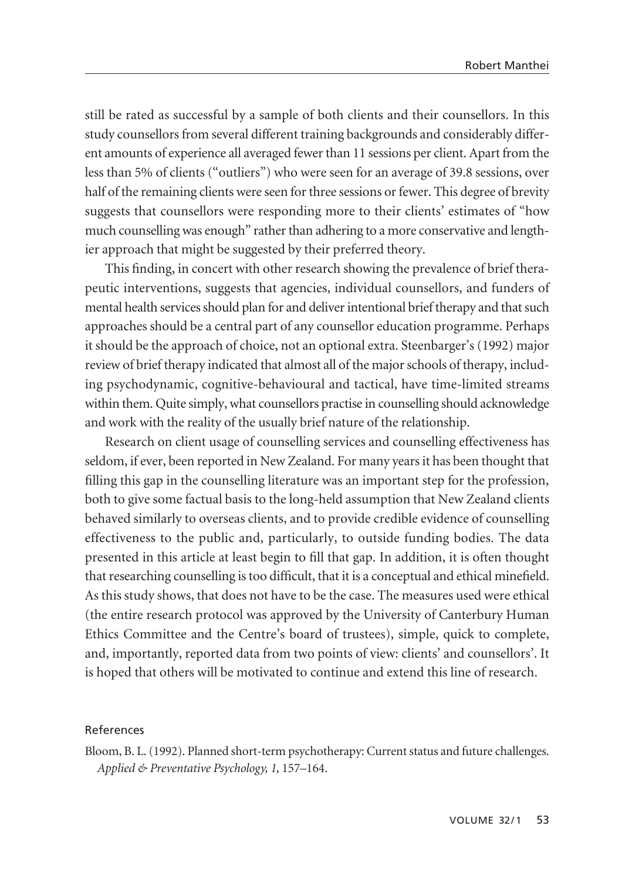still be rated as successful by a sample of both clients and their counsellors. In this study counsellors from several different training backgrounds and considerably different amounts of experience all averaged fewer than 11 sessions per client. Apart from the less than 5% of clients ("outliers") who were seen for an average of 39.8 sessions, over half of the remaining clients were seen for three sessions or fewer. This degree of brevity suggests that counsellors were responding more to their clients' estimates of "how much counselling was enough" rather than adhering to a more conservative and lengthier approach that might be suggested by their preferred theory.

This finding, in concert with other research showing the prevalence of brief therapeutic interventions, suggests that agencies, individual counsellors, and funders of mental health services should plan for and deliver intentional brief therapy and that such approaches should be a central part of any counsellor education programme. Perhaps it should be the approach of choice, not an optional extra. Steenbarger's (1992) major review of brief therapy indicated that almost all of the major schools of therapy, including psychodynamic, cognitive-behavioural and tactical, have time-limited streams within them. Quite simply, what counsellors practise in counselling should acknowledge and work with the reality of the usually brief nature of the relationship.

Research on client usage of counselling services and counselling effectiveness has seldom, if ever, been reported in New Zealand. For many years it has been thought that filling this gap in the counselling literature was an important step for the profession, both to give some factual basis to the long-held assumption that New Zealand clients behaved similarly to overseas clients, and to provide credible evidence of counselling effectiveness to the public and, particularly, to outside funding bodies. The data presented in this article at least begin to fill that gap. In addition, it is often thought that researching counselling is too difficult, that it is a conceptual and ethical minefield. As this study shows, that does not have to be the case. The measures used were ethical (the entire research protocol was approved by the University of Canterbury Human Ethics Committee and the Centre's board of trustees), simple, quick to complete, and, importantly, reported data from two points of view: clients' and counsellors'. It is hoped that others will be motivated to continue and extend this line of research.

#### References

Bloom, B. L. (1992). Planned short-term psychotherapy: Current status and future challenges. *Applied & Preventative Psychology, 1*, 157–164.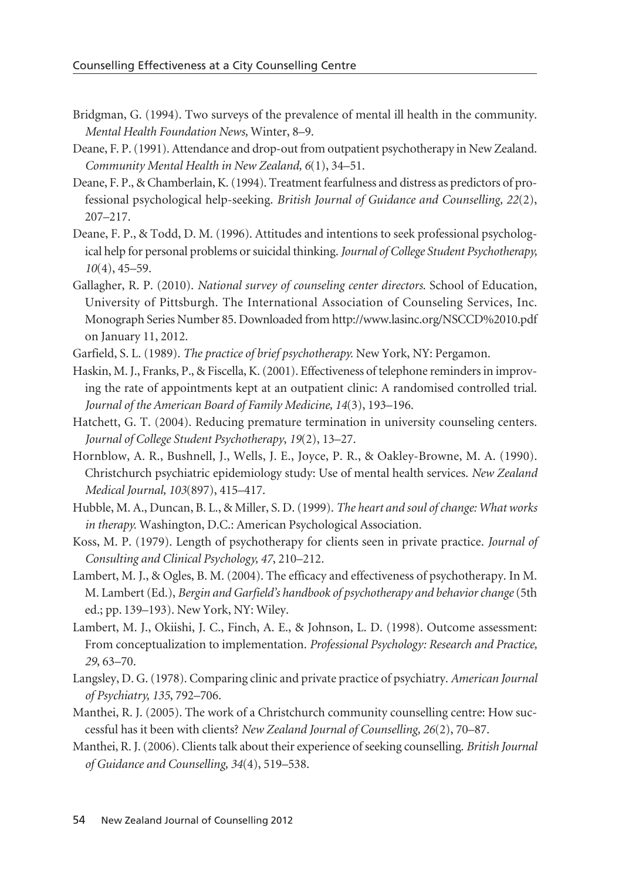- Bridgman, G. (1994). Two surveys of the prevalence of mental ill health in the community. *Mental Health Foundation News,* Winter, 8–9.
- Deane, F. P. (1991). Attendance and drop-out from outpatient psychotherapy in New Zealand. *Community Mental Health in New Zealand, 6*(1), 34–51.
- Deane, F. P., & Chamberlain, K. (1994). Treatment fearfulness and distress as predictors of professional psychological help-seeking. *British Journal of Guidance and Counselling, 22*(2), 207–217.
- Deane, F. P., & Todd, D. M. (1996). Attitudes and intentions to seek professional psychological help for personal problems or suicidal thinking. *Journal of College Student Psychotherapy, 10*(4), 45–59.
- Gallagher, R. P. (2010). *National survey of counseling center directors*. School of Education, University of Pittsburgh. The International Association of Counseling Services, Inc. Monograph Series Number 85. Downloaded from http://www.lasinc.org/NSCCD%2010.pdf on January 11, 2012.
- Garfield, S. L. (1989). *The practice of brief psychotherapy.* New York, NY: Pergamon.
- Haskin, M. J., Franks, P., & Fiscella, K. (2001). Effectiveness of telephone reminders in improving the rate of appointments kept at an outpatient clinic: A randomised controlled trial. *Journal of the American Board of Family Medicine, 14*(3), 193–196.
- Hatchett, G. T. (2004). Reducing premature termination in university counseling centers. *Journal of College Student Psychotherapy*, *19*(2), 13–27.
- Hornblow, A. R., Bushnell, J., Wells, J. E., Joyce, P. R., & Oakley-Browne, M. A. (1990). Christchurch psychiatric epidemiology study: Use of mental health services. *New Zealand Medical Journal, 103*(897), 415–417.
- Hubble, M. A., Duncan, B. L., & Miller, S. D. (1999). *The heart and soul of change: What works in therapy.* Washington, D.C.: American Psychological Association.
- Koss, M. P. (1979). Length of psychotherapy for clients seen in private practice. *Journal of Consulting and Clinical Psychology, 47*, 210–212.
- Lambert, M. J., & Ogles, B. M. (2004). The efficacy and effectiveness of psychotherapy. In M. M. Lambert (Ed.), *Bergin and Garfield's handbook of psychotherapy and behavior change*(5th ed.; pp. 139–193). New York, NY: Wiley.
- Lambert, M. J., Okiishi, J. C., Finch, A. E., & Johnson, L. D. (1998). Outcome assessment: From conceptualization to implementation. *Professional Psychology: Research and Practice, 29*, 63–70.
- Langsley, D. G. (1978). Comparing clinic and private practice of psychiatry. *American Journal of Psychiatry, 135*, 792–706.
- Manthei, R. J. (2005). The work of a Christchurch community counselling centre: How successful has it been with clients? *New Zealand Journal of Counselling, 26*(2), 70–87.
- Manthei, R. J. (2006). Clients talk about their experience of seeking counselling. *British Journal of Guidance and Counselling, 34*(4), 519–538.